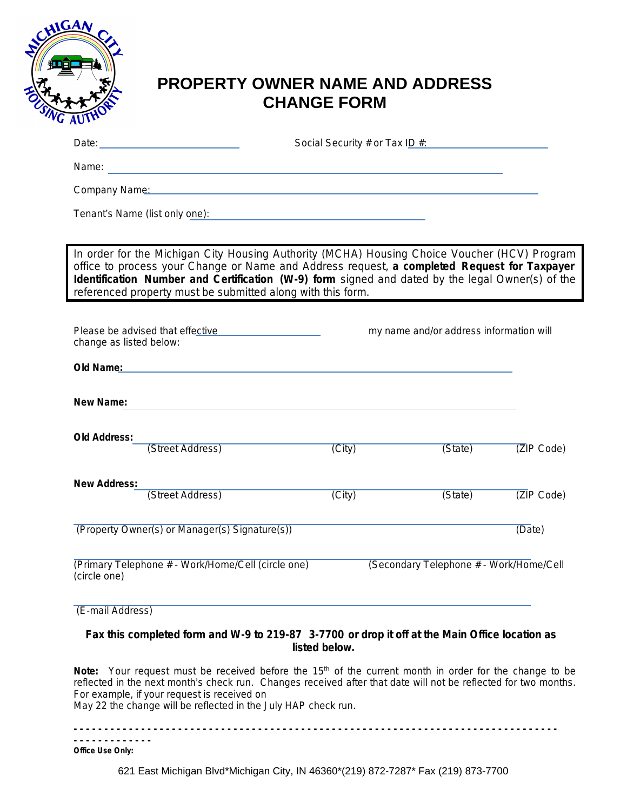

## **PROPERTY OWNER NAME AND ADDRESS CHANGE FORM**

|                                                                                                                                                                                                                                                                                                                                                                | Social Security # or Tax ID #:                     |                                         |            |  |
|----------------------------------------------------------------------------------------------------------------------------------------------------------------------------------------------------------------------------------------------------------------------------------------------------------------------------------------------------------------|----------------------------------------------------|-----------------------------------------|------------|--|
|                                                                                                                                                                                                                                                                                                                                                                |                                                    |                                         |            |  |
| Company Name: Name and South Allen Company Name: Name and South Allen Company Name: Name and South Allen Company                                                                                                                                                                                                                                               |                                                    |                                         |            |  |
| Tenant's Name (list only one):                                                                                                                                                                                                                                                                                                                                 | <u> 1989 - John Stein, Amerikaansk politiker (</u> |                                         |            |  |
|                                                                                                                                                                                                                                                                                                                                                                |                                                    |                                         |            |  |
| In order for the Michigan City Housing Authority (MCHA) Housing Choice Voucher (HCV) Program<br>office to process your Change or Name and Address request, a completed Request for Taxpayer<br>Identification Number and Certification (W-9) form signed and dated by the legal Owner(s) of the<br>referenced property must be submitted along with this form. |                                                    |                                         |            |  |
| Please be advised that effective <b>COVID-100</b><br>change as listed below:                                                                                                                                                                                                                                                                                   |                                                    | my name and/or address information will |            |  |
| Old Name: We have a strategies of the strategies of the strategies of the strategies of the strategies of the                                                                                                                                                                                                                                                  |                                                    |                                         |            |  |
| New Name:                                                                                                                                                                                                                                                                                                                                                      |                                                    |                                         |            |  |
| <b>Old Address:</b><br>(Street Address)                                                                                                                                                                                                                                                                                                                        | (City)                                             | (State)                                 | ZIP Code)  |  |
| <b>New Address:</b><br>(Street Address)                                                                                                                                                                                                                                                                                                                        | (City)                                             | (State)                                 | (ZIP Code) |  |
| (Property Owner(s) or Manager(s) Signature(s))                                                                                                                                                                                                                                                                                                                 |                                                    |                                         | (Date)     |  |
| (Primary Telephone # - Work/Home/Cell (circle one)<br>(circle one)                                                                                                                                                                                                                                                                                             |                                                    | (Secondary Telephone # - Work/Home/Cell |            |  |
| (E-mail Address)                                                                                                                                                                                                                                                                                                                                               |                                                    |                                         |            |  |

## *Fax this completed form and W-9 to 219-87 3-7700 or drop it off at the Main Office location as listed below.*

**Note:** Your request must be received before the 15<sup>th</sup> of the current month in order for the change to be reflected in the next month's check run. Changes received after that date will not be reflected for two months. For example, if your request is received on

May 22 the change will be reflected in the July HAP check run.

**- - - - - - - - - - - - - - - - - - - - - - - - - - - - - - - - - - - - - - - - - - - - - - - - - - - - - - - - - - - - - - - - - - - - - - - - - - - - - - - - - - - - - - - - - - - -**  *Office Use Only:*

621 East Michigan Blvd\*Michigan City, IN 46360\*(219) 872-7287\* Fax (219) 873-7700